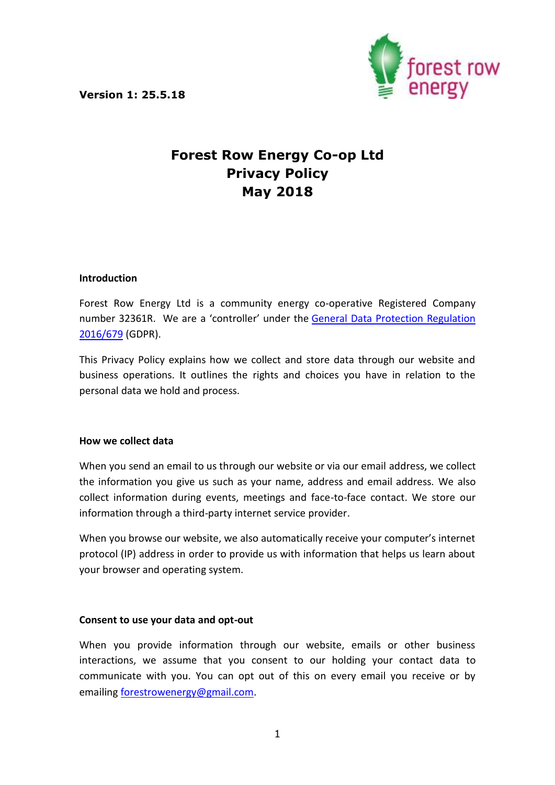

# **Forest Row Energy Co-op Ltd Privacy Policy May 2018**

#### **Introduction**

Forest Row Energy Ltd is a community energy co-operative Registered Company number 32361R. We are a 'controller' under the [General Data Protection Regulation](http://eur-lex.europa.eu/legal-content/EN/TXT/PDF/?uri=CELEX:32016R0679&from=EN)  [2016/679](http://eur-lex.europa.eu/legal-content/EN/TXT/PDF/?uri=CELEX:32016R0679&from=EN) (GDPR).

This Privacy Policy explains how we collect and store data through our website and business operations. It outlines the rights and choices you have in relation to the personal data we hold and process.

#### **How we collect data**

When you send an email to us through our website or via our email address, we collect the information you give us such as your name, address and email address. We also collect information during events, meetings and face-to-face contact. We store our information through a third-party internet service provider.

When you browse our website, we also automatically receive your computer's internet protocol (IP) address in order to provide us with information that helps us learn about your browser and operating system.

## **Consent to use your data and opt-out**

When you provide information through our website, emails or other business interactions, we assume that you consent to our holding your contact data to communicate with you. You can opt out of this on every email you receive or by emailing [forestrowenergy@gmail.com.](mailto:forestrowenergy@gmail.com)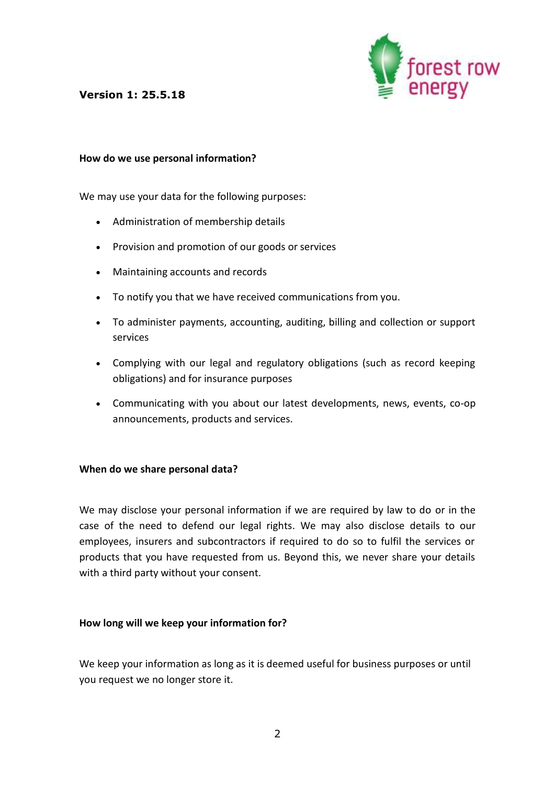

#### **How do we use personal information?**

We may use your data for the following purposes:

- Administration of membership details
- Provision and promotion of our goods or services
- Maintaining accounts and records
- To notify you that we have received communications from you.
- To administer payments, accounting, auditing, billing and collection or support services
- Complying with our legal and regulatory obligations (such as record keeping obligations) and for insurance purposes
- Communicating with you about our latest developments, news, events, co-op announcements, products and services.

#### **When do we share personal data?**

We may disclose your personal information if we are required by law to do or in the case of the need to defend our legal rights. We may also disclose details to our employees, insurers and subcontractors if required to do so to fulfil the services or products that you have requested from us. Beyond this, we never share your details with a third party without your consent.

#### **How long will we keep your information for?**

We keep your information as long as it is deemed useful for business purposes or until you request we no longer store it.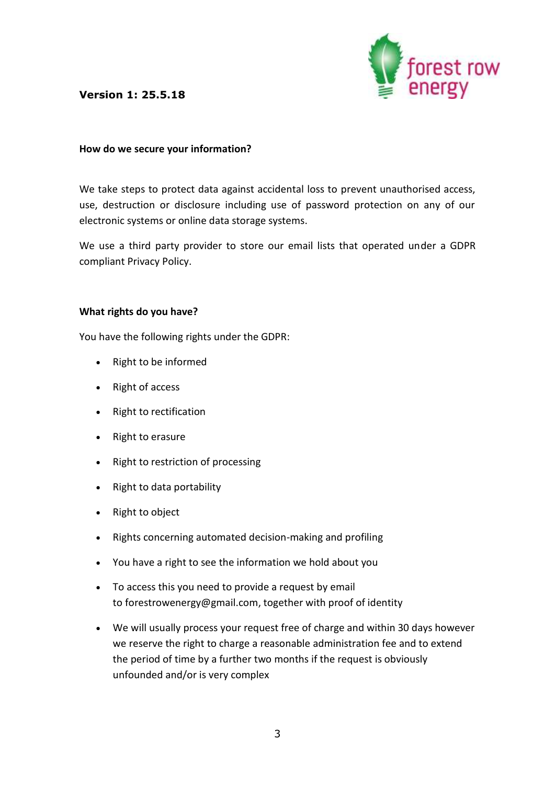

#### **How do we secure your information?**

We take steps to protect data against accidental loss to prevent unauthorised access, use, destruction or disclosure including use of password protection on any of our electronic systems or online data storage systems.

We use a third party provider to store our email lists that operated under a GDPR compliant Privacy Policy.

#### **What rights do you have?**

You have the following rights under the GDPR:

- Right to be informed
- Right of access
- Right to rectification
- Right to erasure
- Right to restriction of processing
- Right to data portability
- Right to object
- Rights concerning automated decision-making and profiling
- You have a right to see the information we hold about you
- To access this you need to provide a request by email to forestrowenergy@gmail.com, together with proof of identity
- We will usually process your request free of charge and within 30 days however we reserve the right to charge a reasonable administration fee and to extend the period of time by a further two months if the request is obviously unfounded and/or is very complex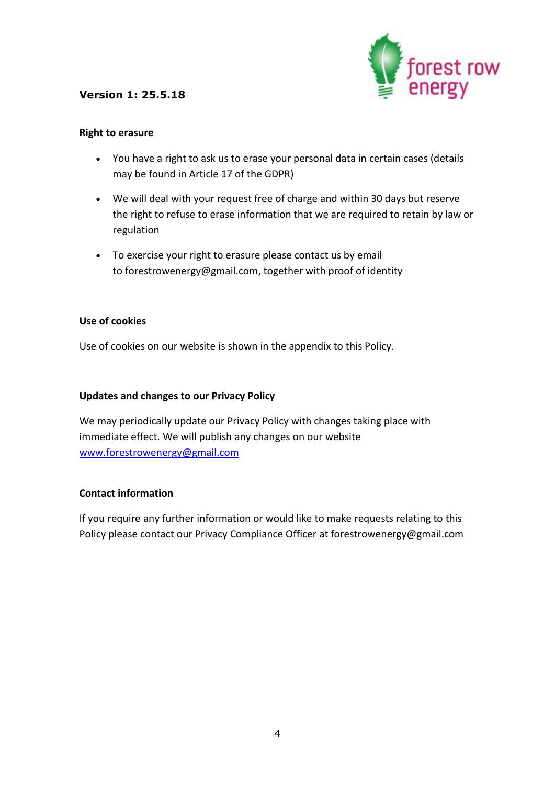

#### **Right to erasure**

- You have a right to ask us to erase your personal data in certain cases (details may be found in Article 17 of the GDPR)
- We will deal with your request free of charge and within 30 days but reserve the right to refuse to erase information that we are required to retain by law or regulation
- To exercise your right to erasure please contact us by email to forestrowenergy@gmail.com, together with proof of identity

## **Use of cookies**

Use of cookies on our website is shown in the appendix to this Policy.

## **Updates and changes to our Privacy Policy**

We may periodically update our Privacy Policy with changes taking place with immediate effect. We will publish any changes on our website [www.forestrowenergy@gmail.com](http://www.forestrowenergy@gmail.com/)

#### **Contact information**

If you require any further information or would like to make requests relating to this Policy please contact our Privacy Compliance Officer at forestrowenergy@gmail.com